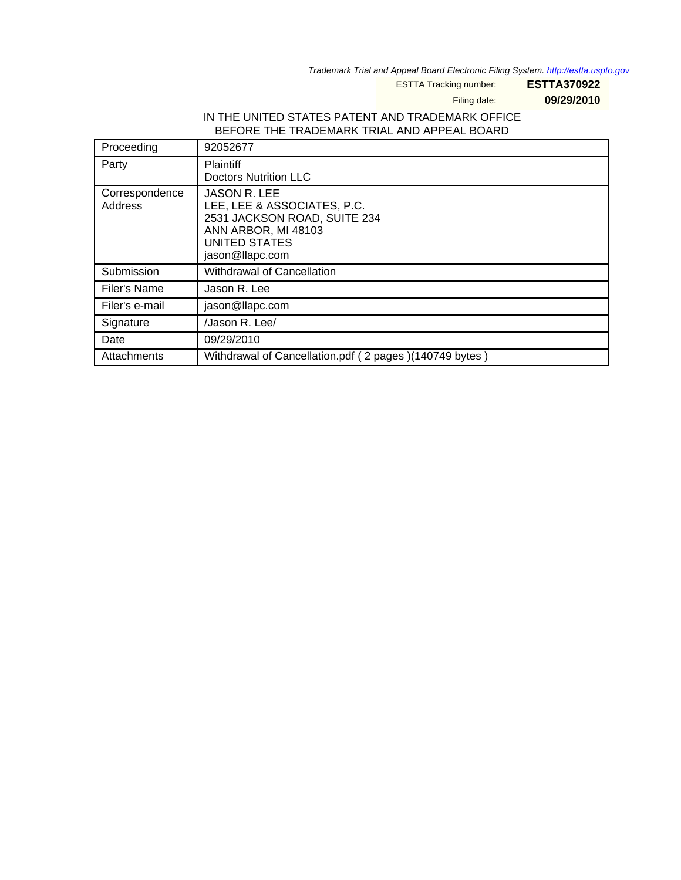Trademark Trial and Appeal Board Electronic Filing System. http://estta.uspto.gov

ESTTA Tracking number: **ESTTA370922**

Filing date: **09/29/2010**

# IN THE UNITED STATES PATENT AND TRADEMARK OFFICE BEFORE THE TRADEMARK TRIAL AND APPEAL BOARD

| Proceeding                | 92052677                                                                                                                                      |
|---------------------------|-----------------------------------------------------------------------------------------------------------------------------------------------|
| Party                     | <b>Plaintiff</b><br><b>Doctors Nutrition LLC</b>                                                                                              |
| Correspondence<br>Address | <b>JASON R. LEE</b><br>LEE, LEE & ASSOCIATES, P.C.<br>2531 JACKSON ROAD, SUITE 234<br>ANN ARBOR, MI 48103<br>UNITED STATES<br>jason@llapc.com |
| Submission                | <b>Withdrawal of Cancellation</b>                                                                                                             |
| Filer's Name              | Jason R. Lee                                                                                                                                  |
| Filer's e-mail            | jason@llapc.com                                                                                                                               |
| Signature                 | /Jason R. Lee/                                                                                                                                |
| Date                      | 09/29/2010                                                                                                                                    |
| Attachments               | Withdrawal of Cancellation.pdf (2 pages) (140749 bytes)                                                                                       |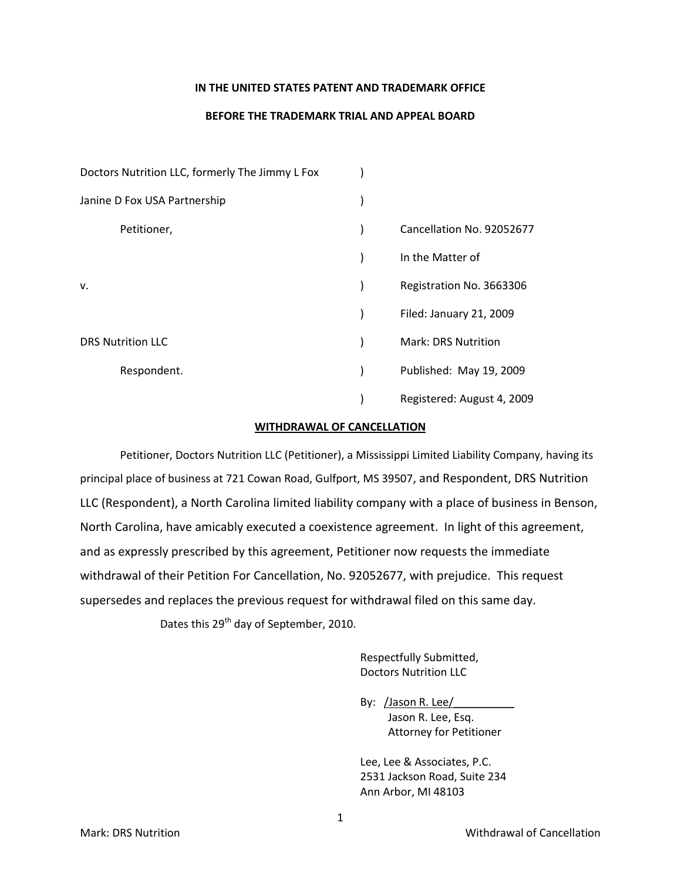### **IN THE UNITED STATES PATENT AND TRADEMARK OFFICE**

## **BEFORE THE TRADEMARK TRIAL AND APPEAL BOARD**

| Doctors Nutrition LLC, formerly The Jimmy L Fox |  |                            |
|-------------------------------------------------|--|----------------------------|
| Janine D Fox USA Partnership                    |  |                            |
| Petitioner,                                     |  | Cancellation No. 92052677  |
|                                                 |  | In the Matter of           |
| v.                                              |  | Registration No. 3663306   |
|                                                 |  | Filed: January 21, 2009    |
| <b>DRS Nutrition LLC</b>                        |  | <b>Mark: DRS Nutrition</b> |
| Respondent.                                     |  | Published: May 19, 2009    |
|                                                 |  | Registered: August 4, 2009 |

#### **WITHDRAWAL OF CANCELLATION**

Petitioner, Doctors Nutrition LLC (Petitioner), a Mississippi Limited Liability Company, having its principal place of business at 721 Cowan Road, Gulfport, MS 39507, and Respondent, DRS Nutrition LLC (Respondent), a North Carolina limited liability company with a place of business in Benson, North Carolina, have amicably executed a coexistence agreement. In light of this agreement, and as expressly prescribed by this agreement, Petitioner now requests the immediate withdrawal of their Petition For Cancellation, No. 92052677, with prejudice. This request supersedes and replaces the previous request for withdrawal filed on this same day. Dates this 29<sup>th</sup> day of September, 2010.

> Respectfully Submitted, Doctors Nutrition LLC

By: /Jason R. Lee/ Jason R. Lee, Esq. Attorney for Petitioner

Lee, Lee & Associates, P.C. 2531 Jackson Road, Suite 234 Ann Arbor, MI 48103

1